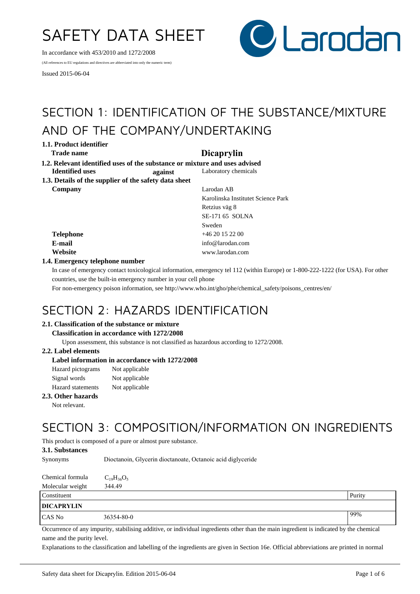# SAFETY DATA SHEET

In accordance with 453/2010 and 1272/2008

(All references to EU regulations and directives are abbreviated into only the numeric term)

Issued 2015-06-04



# SECTION 1: IDENTIFICATION OF THE SUBSTANCE/MIXTURE AND OF THE COMPANY/UNDERTAKING

**1.1. Product identifier**

## **Trade name Dicaprylin**

**Company** Larodan AB

**1.2. Relevant identified uses of the substance or mixture and uses advised<br>Identified uses and against Laboratory chemicals Identified uses against** Laboratory chemicals

| 1.3. Details of the supplier of the safety data sheet |  |  |
|-------------------------------------------------------|--|--|
| Company                                               |  |  |

|           | Karolinska Institutet Science Park |  |
|-----------|------------------------------------|--|
|           | Retzius väg 8                      |  |
|           | SE-171 65 SOLNA                    |  |
|           | Sweden                             |  |
| Telephone | $+4620152200$                      |  |
| E-mail    | info@larodan.com                   |  |
| Website   | www.larodan.com                    |  |

### **1.4. Emergency telephone number**

In case of emergency contact toxicological information, emergency tel 112 (within Europe) or 1-800-222-1222 (for USA). For other countries, use the built-in emergency number in your cell phone

For non-emergency poison information, see http://www.who.int/gho/phe/chemical\_safety/poisons\_centres/en/

# SECTION 2: HAZARDS IDENTIFICATION

#### **2.1. Classification of the substance or mixture**

#### **Classification in accordance with 1272/2008**

Upon assessment, this substance is not classified as hazardous according to 1272/2008.

#### **2.2. Label elements**

### **Label information in accordance with 1272/2008**

| Hazard pictograms        | Not applicable |
|--------------------------|----------------|
| Signal words             | Not applicable |
| <b>Hazard</b> statements | Not applicable |

#### **2.3. Other hazards**

Not relevant.

# SECTION 3: COMPOSITION/INFORMATION ON INGREDIENTS

This product is composed of a pure or almost pure substance.

#### **3.1. Substances**

| <b>Synonyms</b>  | Dioctanoin, Glycerin dioctanoate, Octanoic acid diglyceride |  |
|------------------|-------------------------------------------------------------|--|
| Chamical formula |                                                             |  |

| Спеннсат гогиција | $C_{19}H_{36}U_{5}$ |  |
|-------------------|---------------------|--|
| Molecular weight  | 344.49              |  |

| Constituent       |            | Purity |
|-------------------|------------|--------|
| <b>DICAPRYLIN</b> |            |        |
| CAS No            | 36354-80-0 | 99%    |

Occurrence of any impurity, stabilising additive, or individual ingredients other than the main ingredient is indicated by the chemical name and the purity level.

Explanations to the classification and labelling of the ingredients are given in Section 16e. Official abbreviations are printed in normal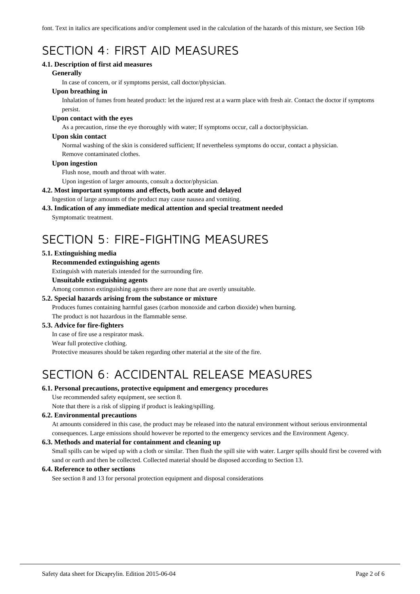font. Text in italics are specifications and/or complement used in the calculation of the hazards of this mixture, see Section 16b

# SECTION 4: FIRST AID MEASURES

#### **4.1. Description of first aid measures**

#### **Generally**

In case of concern, or if symptoms persist, call doctor/physician.

### **Upon breathing in**

Inhalation of fumes from heated product: let the injured rest at a warm place with fresh air. Contact the doctor if symptoms persist.

#### **Upon contact with the eyes**

As a precaution, rinse the eye thoroughly with water; If symptoms occur, call a doctor/physician.

#### **Upon skin contact**

Normal washing of the skin is considered sufficient; If nevertheless symptoms do occur, contact a physician. Remove contaminated clothes.

#### **Upon ingestion**

Flush nose, mouth and throat with water.

Upon ingestion of larger amounts, consult a doctor/physician.

#### **4.2. Most important symptoms and effects, both acute and delayed**

Ingestion of large amounts of the product may cause nausea and vomiting.

# **4.3. Indication of any immediate medical attention and special treatment needed**

Symptomatic treatment.

# SECTION 5: FIRE-FIGHTING MEASURES

#### **5.1. Extinguishing media**

#### **Recommended extinguishing agents**

Extinguish with materials intended for the surrounding fire.

#### **Unsuitable extinguishing agents**

Among common extinguishing agents there are none that are overtly unsuitable.

#### **5.2. Special hazards arising from the substance or mixture**

Produces fumes containing harmful gases (carbon monoxide and carbon dioxide) when burning. The product is not hazardous in the flammable sense.

#### **5.3. Advice for fire-fighters**

In case of fire use a respirator mask.

#### Wear full protective clothing.

Protective measures should be taken regarding other material at the site of the fire.

# SECTION 6: ACCIDENTAL RELEASE MEASURES

#### **6.1. Personal precautions, protective equipment and emergency procedures**

Use recommended safety equipment, see section 8.

Note that there is a risk of slipping if product is leaking/spilling.

#### **6.2. Environmental precautions**

At amounts considered in this case, the product may be released into the natural environment without serious environmental consequences. Large emissions should however be reported to the emergency services and the Environment Agency.

#### **6.3. Methods and material for containment and cleaning up**

Small spills can be wiped up with a cloth or similar. Then flush the spill site with water. Larger spills should first be covered with sand or earth and then be collected. Collected material should be disposed according to Section 13.

#### **6.4. Reference to other sections**

See section 8 and 13 for personal protection equipment and disposal considerations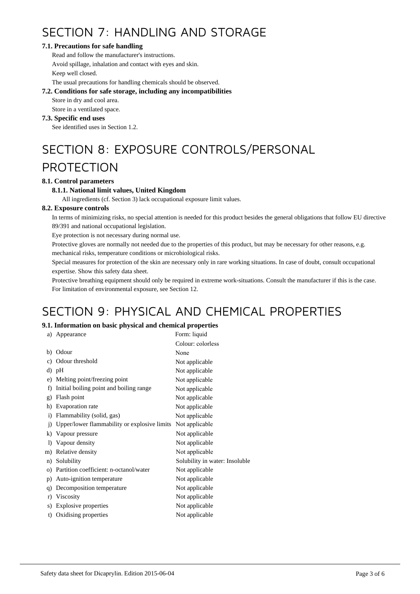# SECTION 7: HANDLING AND STORAGE

### **7.1. Precautions for safe handling**

Read and follow the manufacturer's instructions. Avoid spillage, inhalation and contact with eyes and skin. Keep well closed.

The usual precautions for handling chemicals should be observed.

#### **7.2. Conditions for safe storage, including any incompatibilities**

Store in dry and cool area.

Store in a ventilated space.

#### **7.3. Specific end uses**

See identified uses in Section 1.2.

# SECTION 8: EXPOSURE CONTROLS/PERSONAL

# PROTECTION

### **8.1. Control parameters**

### **8.1.1. National limit values, United Kingdom**

All ingredients (cf. Section 3) lack occupational exposure limit values.

### **8.2. Exposure controls**

In terms of minimizing risks, no special attention is needed for this product besides the general obligations that follow EU directive 89/391 and national occupational legislation.

Eye protection is not necessary during normal use.

Protective gloves are normally not needed due to the properties of this product, but may be necessary for other reasons, e.g.

mechanical risks, temperature conditions or microbiological risks.

Special measures for protection of the skin are necessary only in rare working situations. In case of doubt, consult occupational expertise. Show this safety data sheet.

Protective breathing equipment should only be required in extreme work-situations. Consult the manufacturer if this is the case. For limitation of environmental exposure, see Section 12.

# SECTION 9: PHYSICAL AND CHEMICAL PROPERTIES

### **9.1. Information on basic physical and chemical properties**

| a)             | Appearance                                   | Form: liquid                   |
|----------------|----------------------------------------------|--------------------------------|
|                |                                              | Colour: colorless              |
| b)             | Odour                                        | None                           |
| c)             | Odour threshold                              | Not applicable                 |
| d)             | pH                                           | Not applicable                 |
| e)             | Melting point/freezing point                 | Not applicable                 |
| f)             | Initial boiling point and boiling range      | Not applicable                 |
| g)             | Flash point                                  | Not applicable                 |
| h)             | Evaporation rate                             | Not applicable                 |
| $\mathbf{i}$   | Flammability (solid, gas)                    | Not applicable                 |
| $\overline{1}$ | Upper/lower flammability or explosive limits | Not applicable                 |
| k)             | Vapour pressure                              | Not applicable                 |
| $_{\rm D}$     | Vapour density                               | Not applicable                 |
| m)             | Relative density                             | Not applicable                 |
| n)             | Solubility                                   | Solubility in water: Insoluble |
| $\circ$ )      | Partition coefficient: n-octanol/water       | Not applicable                 |
| p)             | Auto-ignition temperature                    | Not applicable                 |
| q)             | Decomposition temperature                    | Not applicable                 |
| r)             | Viscosity                                    | Not applicable                 |
| s)             | Explosive properties                         | Not applicable                 |
| t)             | Oxidising properties                         | Not applicable                 |
|                |                                              |                                |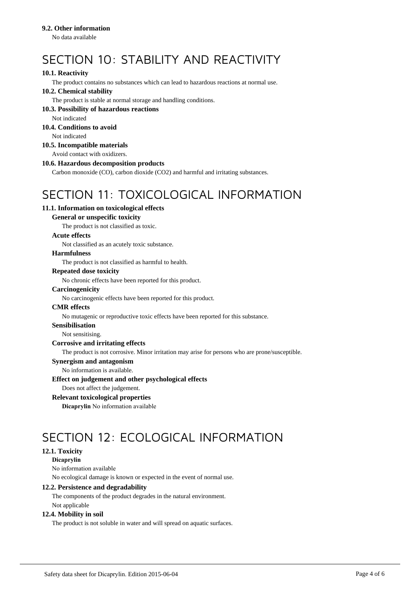#### **9.2. Other information**

No data available

# SECTION 10: STABILITY AND REACTIVITY

### **10.1. Reactivity**

The product contains no substances which can lead to hazardous reactions at normal use.

### **10.2. Chemical stability**

The product is stable at normal storage and handling conditions.

#### **10.3. Possibility of hazardous reactions**

Not indicated

## **10.4. Conditions to avoid**

Not indicated

### **10.5. Incompatible materials**

Avoid contact with oxidizers.

#### **10.6. Hazardous decomposition products**

Carbon monoxide (CO), carbon dioxide (CO2) and harmful and irritating substances.

# SECTION 11: TOXICOLOGICAL INFORMATION

### **11.1. Information on toxicological effects**

#### **General or unspecific toxicity**

The product is not classified as toxic.

#### **Acute effects**

Not classified as an acutely toxic substance.

#### **Harmfulness**

The product is not classified as harmful to health.

#### **Repeated dose toxicity**

No chronic effects have been reported for this product.

#### **Carcinogenicity**

No carcinogenic effects have been reported for this product.

#### **CMR effects**

No mutagenic or reproductive toxic effects have been reported for this substance.

#### **Sensibilisation**

Not sensitising.

#### **Corrosive and irritating effects**

The product is not corrosive. Minor irritation may arise for persons who are prone/susceptible.

#### **Synergism and antagonism**

No information is available.

#### **Effect on judgement and other psychological effects**

Does not affect the judgement.

#### **Relevant toxicological properties**

**Dicaprylin** No information available

# SECTION 12: ECOLOGICAL INFORMATION

### **12.1. Toxicity**

**Dicaprylin** 

No information available No ecological damage is known or expected in the event of normal use.

#### **12.2. Persistence and degradability**

The components of the product degrades in the natural environment. Not applicable

#### **12.4. Mobility in soil**

The product is not soluble in water and will spread on aquatic surfaces.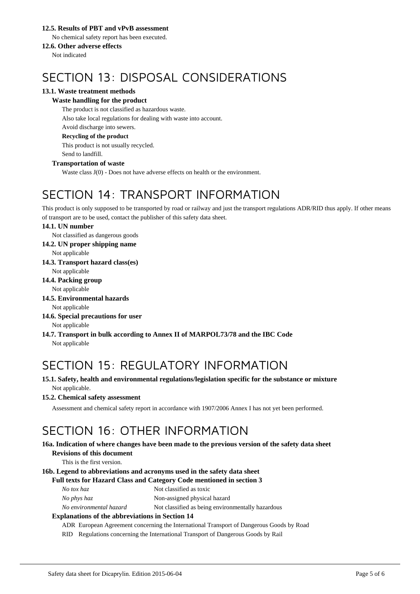#### **12.5. Results of PBT and vPvB assessment**

No chemical safety report has been executed.

### **12.6. Other adverse effects**

Not indicated

# SECTION 13: DISPOSAL CONSIDERATIONS

### **13.1. Waste treatment methods**

### **Waste handling for the product**

The product is not classified as hazardous waste. Also take local regulations for dealing with waste into account. Avoid discharge into sewers. **Recycling of the product**

This product is not usually recycled. Send to landfill.

#### **Transportation of waste**

Waste class J(0) - Does not have adverse effects on health or the environment.

# SECTION 14: TRANSPORT INFORMATION

This product is only supposed to be transported by road or railway and just the transport regulations ADR/RID thus apply. If other means of transport are to be used, contact the publisher of this safety data sheet.

#### **14.1. UN number**

Not classified as dangerous goods

**14.2. UN proper shipping name**

Not applicable

**14.3. Transport hazard class(es)**

Not applicable

### **14.4. Packing group**

Not applicable

**14.5. Environmental hazards**

Not applicable

#### **14.6. Special precautions for user** Not applicable

**14.7. Transport in bulk according to Annex II of MARPOL73/78 and the IBC Code** Not applicable

# SECTION 15: REGULATORY INFORMATION

### **15.1. Safety, health and environmental regulations/legislation specific for the substance or mixture** Not applicable.

#### **15.2. Chemical safety assessment**

Assessment and chemical safety report in accordance with 1907/2006 Annex I has not yet been performed.

# SECTION 16: OTHER INFORMATION

#### **16a. Indication of where changes have been made to the previous version of the safety data sheet Revisions of this document**

This is the first version.

### **16b. Legend to abbreviations and acronyms used in the safety data sheet**

#### **Full texts for Hazard Class and Category Code mentioned in section 3**

| Not classified as toxic |
|-------------------------|
|                         |

*No phys haz* Non-assigned physical hazard

*No environmental hazard* Not classified as being environmentally hazardous

#### **Explanations of the abbreviations in Section 14**

ADR European Agreement concerning the International Transport of Dangerous Goods by Road

RID Regulations concerning the International Transport of Dangerous Goods by Rail